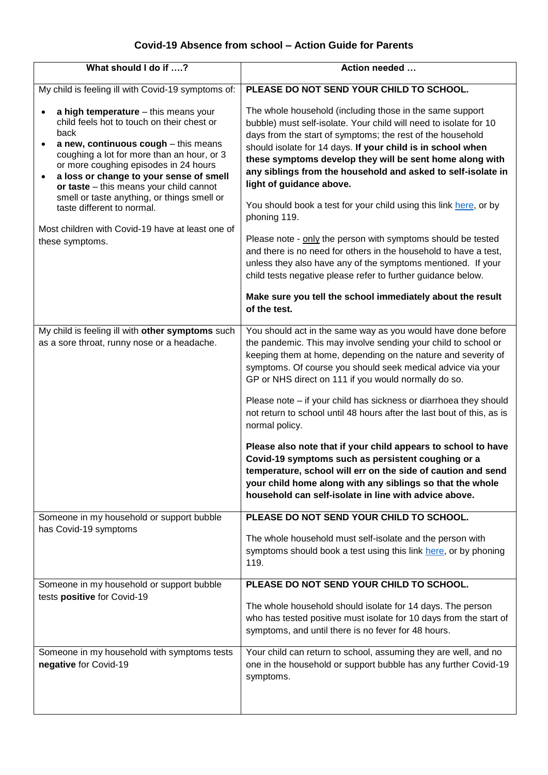## **Covid-19 Absence from school – Action Guide for Parents**

| What should I do if ?                                                                                                                                                                                                                                                                                                                                                                                                                                                            | Action needed                                                                                                                                                                                                                                                                                                                                                                                                                                                                                                                                                                                                                                                                                               |
|----------------------------------------------------------------------------------------------------------------------------------------------------------------------------------------------------------------------------------------------------------------------------------------------------------------------------------------------------------------------------------------------------------------------------------------------------------------------------------|-------------------------------------------------------------------------------------------------------------------------------------------------------------------------------------------------------------------------------------------------------------------------------------------------------------------------------------------------------------------------------------------------------------------------------------------------------------------------------------------------------------------------------------------------------------------------------------------------------------------------------------------------------------------------------------------------------------|
| My child is feeling ill with Covid-19 symptoms of:                                                                                                                                                                                                                                                                                                                                                                                                                               | PLEASE DO NOT SEND YOUR CHILD TO SCHOOL.                                                                                                                                                                                                                                                                                                                                                                                                                                                                                                                                                                                                                                                                    |
| a high temperature - this means your<br>child feels hot to touch on their chest or<br>back<br>a new, continuous cough - this means<br>coughing a lot for more than an hour, or 3<br>or more coughing episodes in 24 hours<br>a loss or change to your sense of smell<br>$\bullet$<br>or taste - this means your child cannot<br>smell or taste anything, or things smell or<br>taste different to normal.<br>Most children with Covid-19 have at least one of<br>these symptoms. | The whole household (including those in the same support<br>bubble) must self-isolate. Your child will need to isolate for 10<br>days from the start of symptoms; the rest of the household<br>should isolate for 14 days. If your child is in school when<br>these symptoms develop they will be sent home along with<br>any siblings from the household and asked to self-isolate in<br>light of guidance above.<br>You should book a test for your child using this link here, or by<br>phoning 119.<br>Please note - only the person with symptoms should be tested<br>and there is no need for others in the household to have a test,<br>unless they also have any of the symptoms mentioned. If your |
|                                                                                                                                                                                                                                                                                                                                                                                                                                                                                  | child tests negative please refer to further guidance below.                                                                                                                                                                                                                                                                                                                                                                                                                                                                                                                                                                                                                                                |
|                                                                                                                                                                                                                                                                                                                                                                                                                                                                                  | Make sure you tell the school immediately about the result<br>of the test.                                                                                                                                                                                                                                                                                                                                                                                                                                                                                                                                                                                                                                  |
| My child is feeling ill with other symptoms such<br>as a sore throat, runny nose or a headache.                                                                                                                                                                                                                                                                                                                                                                                  | You should act in the same way as you would have done before<br>the pandemic. This may involve sending your child to school or<br>keeping them at home, depending on the nature and severity of<br>symptoms. Of course you should seek medical advice via your<br>GP or NHS direct on 111 if you would normally do so.                                                                                                                                                                                                                                                                                                                                                                                      |
|                                                                                                                                                                                                                                                                                                                                                                                                                                                                                  | Please note – if your child has sickness or diarrhoea they should<br>not return to school until 48 hours after the last bout of this, as is<br>normal policy.                                                                                                                                                                                                                                                                                                                                                                                                                                                                                                                                               |
|                                                                                                                                                                                                                                                                                                                                                                                                                                                                                  | Please also note that if your child appears to school to have<br>Covid-19 symptoms such as persistent coughing or a<br>temperature, school will err on the side of caution and send<br>your child home along with any siblings so that the whole<br>household can self-isolate in line with advice above.                                                                                                                                                                                                                                                                                                                                                                                                   |
| Someone in my household or support bubble<br>has Covid-19 symptoms                                                                                                                                                                                                                                                                                                                                                                                                               | PLEASE DO NOT SEND YOUR CHILD TO SCHOOL.                                                                                                                                                                                                                                                                                                                                                                                                                                                                                                                                                                                                                                                                    |
|                                                                                                                                                                                                                                                                                                                                                                                                                                                                                  | The whole household must self-isolate and the person with<br>symptoms should book a test using this link here, or by phoning<br>119.                                                                                                                                                                                                                                                                                                                                                                                                                                                                                                                                                                        |
| Someone in my household or support bubble<br>tests positive for Covid-19                                                                                                                                                                                                                                                                                                                                                                                                         | PLEASE DO NOT SEND YOUR CHILD TO SCHOOL.<br>The whole household should isolate for 14 days. The person<br>who has tested positive must isolate for 10 days from the start of<br>symptoms, and until there is no fever for 48 hours.                                                                                                                                                                                                                                                                                                                                                                                                                                                                         |
| Someone in my household with symptoms tests<br>negative for Covid-19                                                                                                                                                                                                                                                                                                                                                                                                             | Your child can return to school, assuming they are well, and no<br>one in the household or support bubble has any further Covid-19<br>symptoms.                                                                                                                                                                                                                                                                                                                                                                                                                                                                                                                                                             |